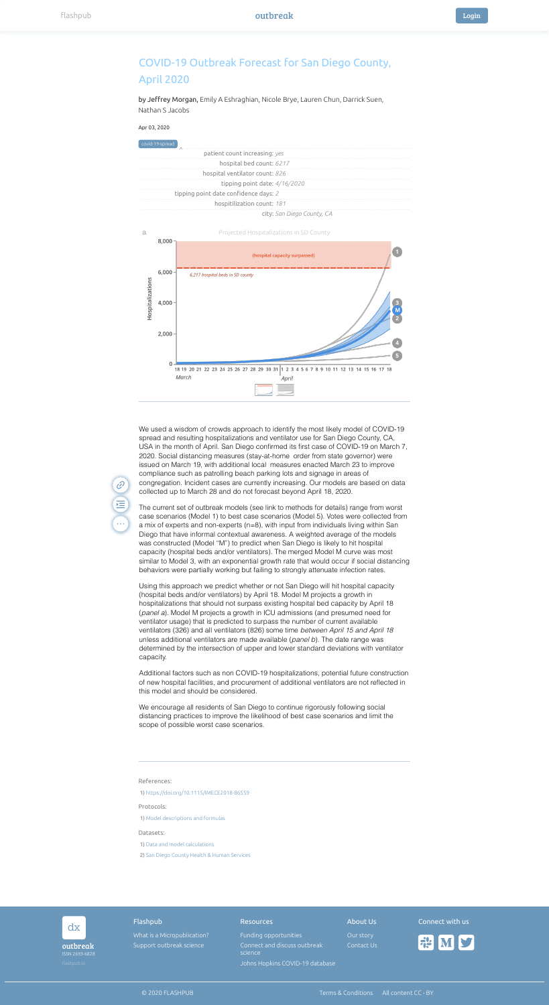

by Jeffrey Morgan, Emily A Eshraghian, Nicole Brye, Lauren Chun, Darrick Suen, Nathan S Jacobs

## Apr 03, 2020

References:

 $\mathscr{C}$ 

运

 $\begin{array}{ccccc}\n\bullet & \bullet & \bullet & \bullet\n\end{array}$ 

Protocols:

Datasets:

## COVID-19 Outbreak Forecast for San Diego County, April 2020





1) <https://doi.org/10.1115/IMECE2018-86559>

1) [Model descriptions and formulas](https://docs.google.com/document/d/13aGrs0XzhyY9ORlW9i02rtv2jHUW7EUBA5H5O2in230/edit?usp=sharing)

1) [Data and model calculations](https://docs.google.com/spreadsheets/d/13FEbschLt7jzLAO41PxjFBw7UQAQb1YdmoT0w_RQrZg/edit?usp=sharing)

2) [San Diego County Health & Human Services](https://www.sandiegocounty.gov/content/sdc/hhsa/programs/phs/community_epidemiology/dc/2019-nCoV.html)

We used a wisdom of crowds approach to identify the most likely model of COVID-19 spread and resulting hospitalizations and ventilator use for San Diego County, CA, USA in the month of April. San Diego confirmed its first case of COVID-19 on March 7, 2020. Social distancing measures (stay-at-home order from state governor) were issued on March 19, with additional local measures enacted March 23 to improve compliance such as patrolling beach parking lots and signage in areas of congregation. Incident cases are currently increasing. Our models are based on data collected up to March 28 and do not forecast beyond April 18, 2020.

The current set of outbreak models (see link to methods for details) range from worst case scenarios (Model 1) to best case scenarios (Model 5). Votes were collected from a mix of experts and non-experts (n=8), with input from individuals living within San Diego that have informal contextual awareness. A weighted average of the models was constructed (Model "M") to predict when San Diego is likely to hit hospital capacity (hospital beds and/or ventilators). The merged Model M curve was most similar to Model 3, with an exponential growth rate that would occur if social distancing behaviors were partially working but failing to strongly attenuate infection rates.

Using this approach we predict whether or not San Diego will hit hospital capacity (hospital beds and/or ventilators) by April 18. Model M projects a growth in hospitalizations that should not surpass existing hospital bed capacity by April 18 (*panel a*). Model M projects a growth in ICU admissions (and presumed need for ventilator usage) that is predicted to surpass the number of current available ventilators (326) and all ventilators (826) some time *between April 15 and April 18* unless additional ventilators are made available (*panel b*). The date range was determined by the intersection of upper and lower standard deviations with ventilator capacity.

Additional factors such as non COVID-19 hospitalizations, potential future construction of new hospital facilities, and procurement of additional ventilators are not reflected in this model and should be considered.

We encourage all residents of San Diego to continue rigorously following social distancing practices to improve the likelihood of best case scenarios and limit the scope of possible worst case scenarios.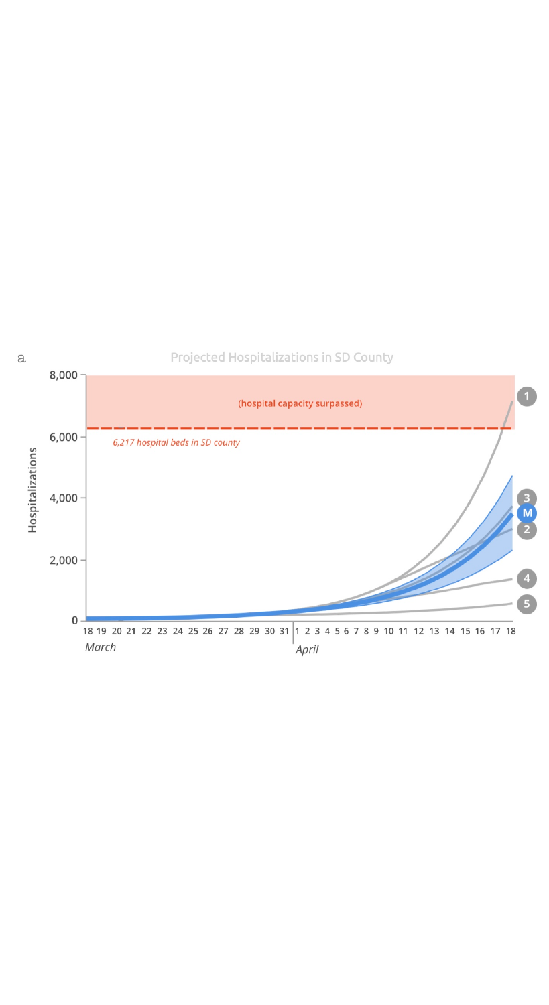

 $\rm{a}$